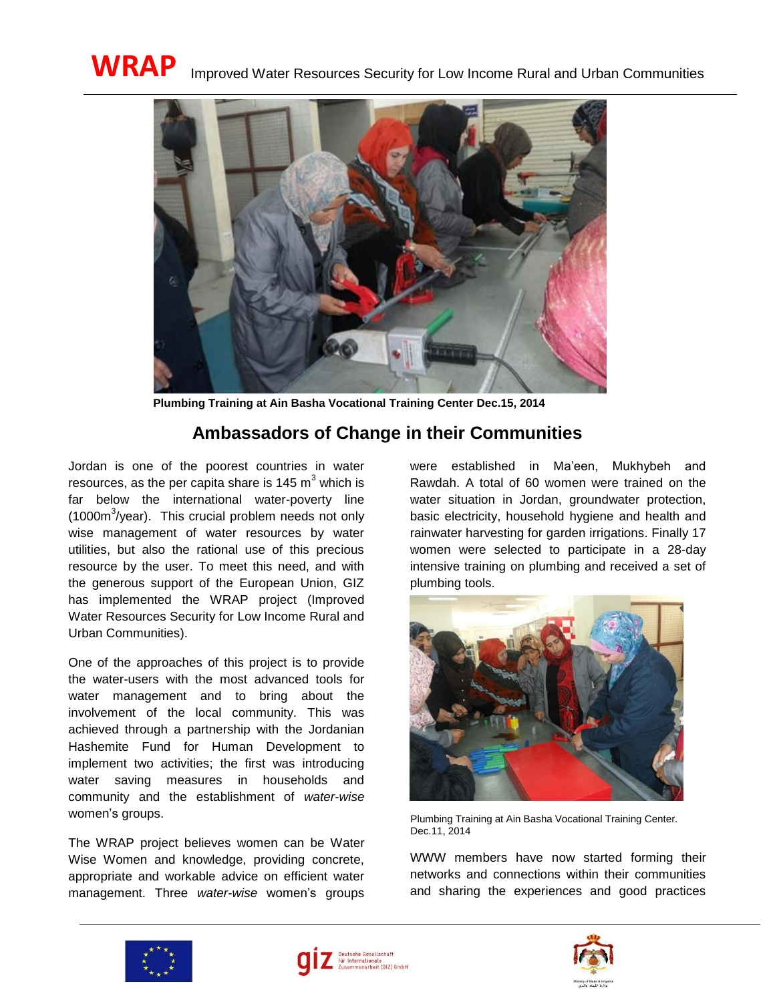

**Plumbing Training at Ain Basha Vocational Training Center Dec.15, 2014**

## **Ambassadors of Change in their Communities**

Jordan is one of the poorest countries in water resources, as the per capita share is  $145 \text{ m}^3$  which is far below the international water-poverty line  $(1000m<sup>3</sup>/year)$ . This crucial problem needs not only wise management of water resources by water utilities, but also the rational use of this precious resource by the user. To meet this need, and with the generous support of the European Union, GIZ has implemented the WRAP project (Improved Water Resources Security for Low Income Rural and Urban Communities).

One of the approaches of this project is to provide the water-users with the most advanced tools for water management and to bring about the involvement of the local community. This was achieved through a partnership with the Jordanian Hashemite Fund for Human Development to implement two activities; the first was introducing water saving measures in households and community and the establishment of *water-wise*  women's groups.

The WRAP project believes women can be Water Wise Women and knowledge, providing concrete, appropriate and workable advice on efficient water management. Three *water-wise* women's groups

were established in Ma'een, Mukhybeh and Rawdah. A total of 60 women were trained on the water situation in Jordan, groundwater protection, basic electricity, household hygiene and health and rainwater harvesting for garden irrigations. Finally 17 women were selected to participate in a 28-day intensive training on plumbing and received a set of plumbing tools.



Plumbing Training at Ain Basha Vocational Training Center. Dec.11, 2014

WWW members have now started forming their networks and connections within their communities and sharing the experiences and good practices





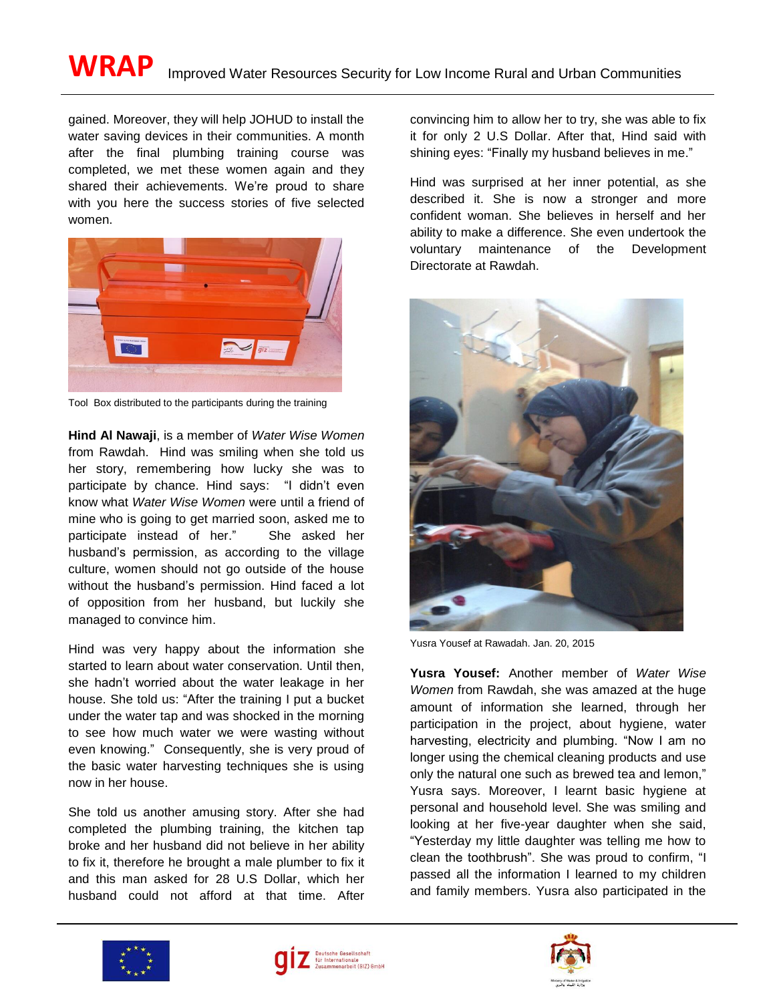gained. Moreover, they will help JOHUD to install the water saving devices in their communities. A month after the final plumbing training course was completed, we met these women again and they shared their achievements. We're proud to share with you here the success stories of five selected women.



Tool Box distributed to the participants during the training

**Hind Al Nawaji**, is a member of *Water Wise Women* from Rawdah. Hind was smiling when she told us her story, remembering how lucky she was to participate by chance. Hind says: "I didn't even know what *Water Wise Women* were until a friend of mine who is going to get married soon, asked me to participate instead of her." She asked her husband's permission, as according to the village culture, women should not go outside of the house without the husband's permission. Hind faced a lot of opposition from her husband, but luckily she managed to convince him.

Hind was very happy about the information she started to learn about water conservation. Until then, she hadn't worried about the water leakage in her house. She told us: "After the training I put a bucket under the water tap and was shocked in the morning to see how much water we were wasting without even knowing." Consequently, she is very proud of the basic water harvesting techniques she is using now in her house.

She told us another amusing story. After she had completed the plumbing training, the kitchen tap broke and her husband did not believe in her ability to fix it, therefore he brought a male plumber to fix it and this man asked for 28 U.S Dollar, which her husband could not afford at that time. After convincing him to allow her to try, she was able to fix it for only 2 U.S Dollar. After that, Hind said with shining eyes: "Finally my husband believes in me."

Hind was surprised at her inner potential, as she described it. She is now a stronger and more confident woman. She believes in herself and her ability to make a difference. She even undertook the voluntary maintenance of the Development Directorate at Rawdah.



Yusra Yousef at Rawadah. Jan. 20, 2015

**Yusra Yousef:** Another member of *Water Wise Women* from Rawdah, she was amazed at the huge amount of information she learned, through her participation in the project, about hygiene, water harvesting, electricity and plumbing. "Now I am no longer using the chemical cleaning products and use only the natural one such as brewed tea and lemon," Yusra says. Moreover, I learnt basic hygiene at personal and household level. She was smiling and looking at her five-year daughter when she said, "Yesterday my little daughter was telling me how to clean the toothbrush". She was proud to confirm, "I passed all the information I learned to my children and family members. Yusra also participated in the





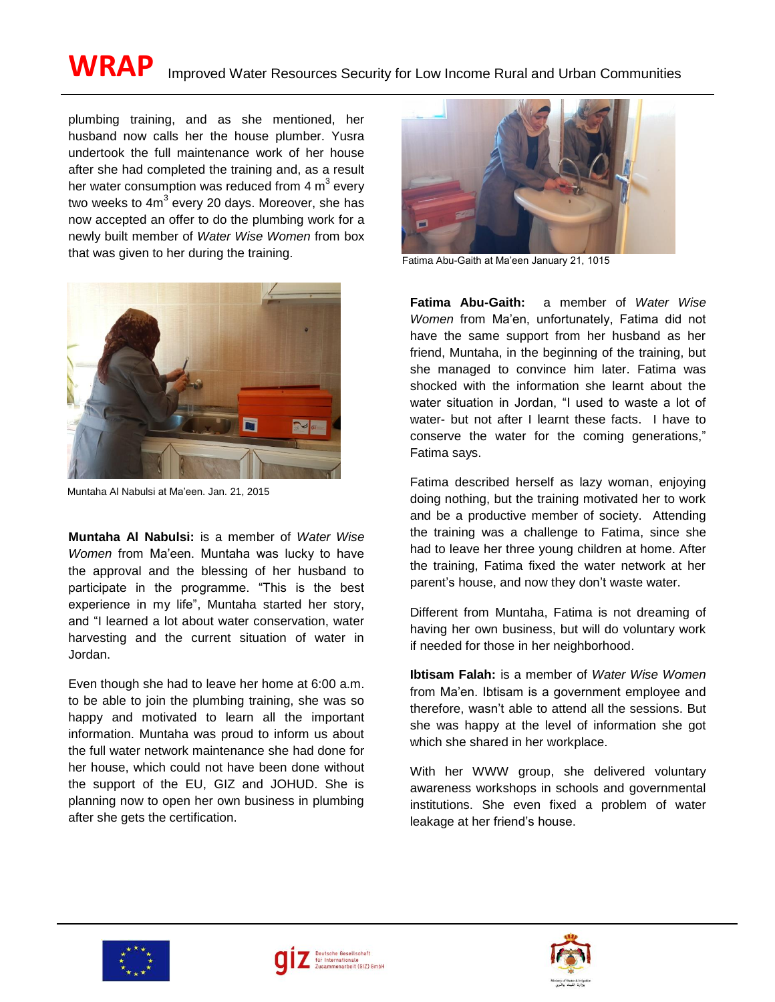## WRAP Improved Water Resources Security for Low Income Rural and Urban Communities

plumbing training, and as she mentioned, her husband now calls her the house plumber. Yusra undertook the full maintenance work of her house after she had completed the training and, as a result her water consumption was reduced from 4  $m^3$  every two weeks to 4m<sup>3</sup> every 20 days. Moreover, she has now accepted an offer to do the plumbing work for a newly built member of *Water Wise Women* from box that was given to her during the training.



Muntaha Al Nabulsi at Ma'een. Jan. 21, 2015

**Muntaha Al Nabulsi:** is a member of *Water Wise Women* from Ma'een. Muntaha was lucky to have the approval and the blessing of her husband to participate in the programme. "This is the best experience in my life", Muntaha started her story, and "I learned a lot about water conservation, water harvesting and the current situation of water in Jordan.

Even though she had to leave her home at 6:00 a.m. to be able to join the plumbing training, she was so happy and motivated to learn all the important information. Muntaha was proud to inform us about the full water network maintenance she had done for her house, which could not have been done without the support of the EU, GIZ and JOHUD. She is planning now to open her own business in plumbing after she gets the certification.



Fatima Abu-Gaith at Ma'een January 21, 1015

**Fatima Abu-Gaith:** a member of *Water Wise Women* from Ma'en, unfortunately, Fatima did not have the same support from her husband as her friend, Muntaha, in the beginning of the training, but she managed to convince him later. Fatima was shocked with the information she learnt about the water situation in Jordan, "I used to waste a lot of water- but not after I learnt these facts. I have to conserve the water for the coming generations," Fatima says.

Fatima described herself as lazy woman, enjoying doing nothing, but the training motivated her to work and be a productive member of society. Attending the training was a challenge to Fatima, since she had to leave her three young children at home. After the training, Fatima fixed the water network at her parent's house, and now they don't waste water.

Different from Muntaha, Fatima is not dreaming of having her own business, but will do voluntary work if needed for those in her neighborhood.

**Ibtisam Falah:** is a member of *Water Wise Women* from Ma'en. Ibtisam is a government employee and therefore, wasn't able to attend all the sessions. But she was happy at the level of information she got which she shared in her workplace.

With her WWW group, she delivered voluntary awareness workshops in schools and governmental institutions. She even fixed a problem of water leakage at her friend's house.